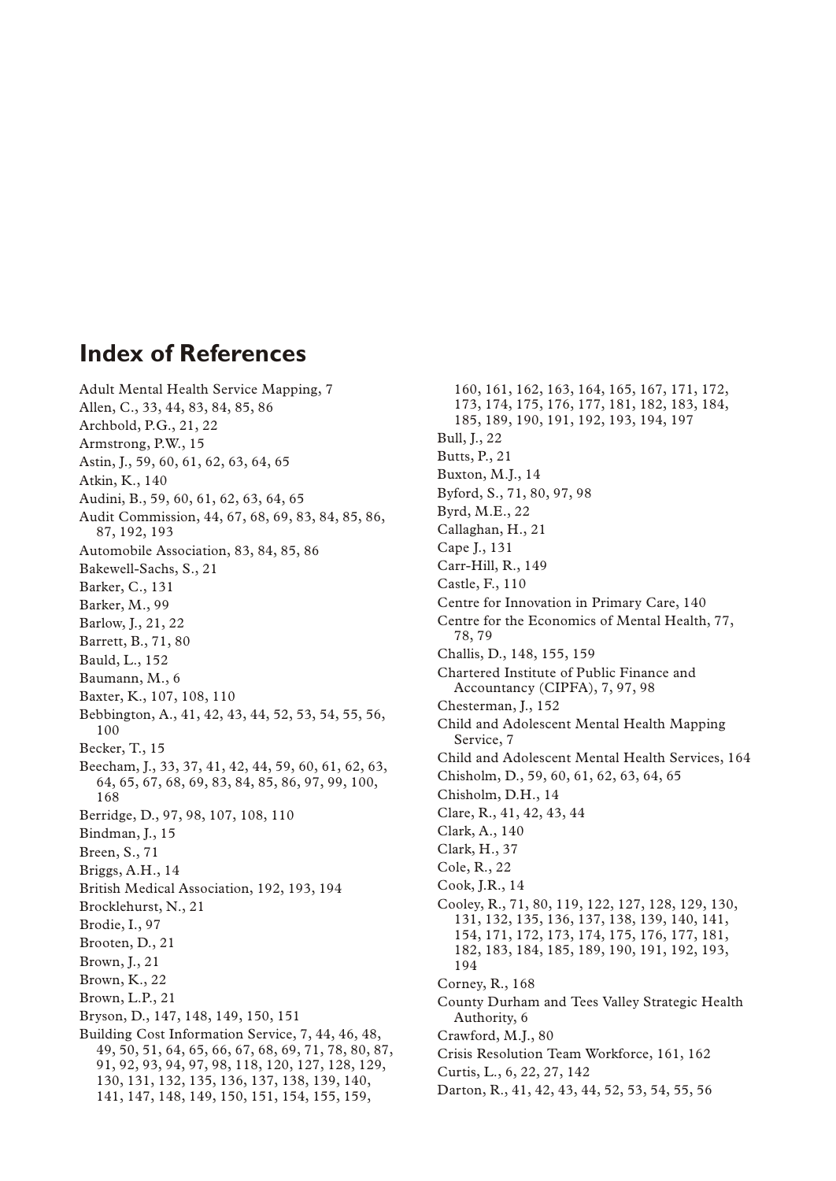## **Index of References**

Adult Mental Health Service Mapping, 7 Allen, C., 33, 44, 83, 84, 85, 86 Archbold, P.G., 21, 22 Armstrong, P.W., 15 Astin, J., 59, 60, 61, 62, 63, 64, 65 Atkin, K., 140 Audini, B., 59, 60, 61, 62, 63, 64, 65 Audit Commission, 44, 67, 68, 69, 83, 84, 85, 86, 87, 192, 193 Automobile Association, 83, 84, 85, 86 Bakewell-Sachs, S., 21 Barker, C., 131 Barker, M., 99 Barlow, J., 21, 22 Barrett, B., 71, 80 Bauld, L., 152 Baumann, M., 6 Baxter, K., 107, 108, 110 Bebbington, A., 41, 42, 43, 44, 52, 53, 54, 55, 56, 100 Becker, T., 15 Beecham, J., 33, 37, 41, 42, 44, 59, 60, 61, 62, 63, 64, 65, 67, 68, 69, 83, 84, 85, 86, 97, 99, 100, 168 Berridge, D., 97, 98, 107, 108, 110 Bindman, J., 15 Breen, S., 71 Briggs, A.H., 14 British Medical Association, 192, 193, 194 Brocklehurst, N., 21 Brodie, I., 97 Brooten, D., 21 Brown, J., 21 Brown, K., 22 Brown, L.P., 21 Bryson, D., 147, 148, 149, 150, 151 Building Cost Information Service, 7, 44, 46, 48, 49, 50, 51, 64, 65, 66, 67, 68, 69, 71, 78, 80, 87, 91, 92, 93, 94, 97, 98, 118, 120, 127, 128, 129, 130, 131, 132, 135, 136, 137, 138, 139, 140, 141, 147, 148, 149, 150, 151, 154, 155, 159,

160, 161, 162, 163, 164, 165, 167, 171, 172, 173, 174, 175, 176, 177, 181, 182, 183, 184, 185, 189, 190, 191, 192, 193, 194, 197 Bull, J., 22 Butts, P., 21 Buxton, M.J., 14 Byford, S., 71, 80, 97, 98 Byrd, M.E., 22 Callaghan, H., 21 Cape J., 131 Carr-Hill, R., 149 Castle, F., 110 Centre for Innovation in Primary Care, 140 Centre for the Economics of Mental Health, 77, 78, 79 Challis, D., 148, 155, 159 Chartered Institute of Public Finance and Accountancy (CIPFA), 7, 97, 98 Chesterman, J., 152 Child and Adolescent Mental Health Mapping Service, 7 Child and Adolescent Mental Health Services, 164 Chisholm, D., 59, 60, 61, 62, 63, 64, 65 Chisholm, D.H., 14 Clare, R., 41, 42, 43, 44 Clark, A., 140 Clark, H., 37 Cole, R., 22 Cook, J.R., 14 Cooley, R., 71, 80, 119, 122, 127, 128, 129, 130, 131, 132, 135, 136, 137, 138, 139, 140, 141, 154, 171, 172, 173, 174, 175, 176, 177, 181, 182, 183, 184, 185, 189, 190, 191, 192, 193, 194 Corney, R., 168 County Durham and Tees Valley Strategic Health Authority, 6 Crawford, M.J., 80 Crisis Resolution Team Workforce, 161, 162 Curtis, L., 6, 22, 27, 142 Darton, R., 41, 42, 43, 44, 52, 53, 54, 55, 56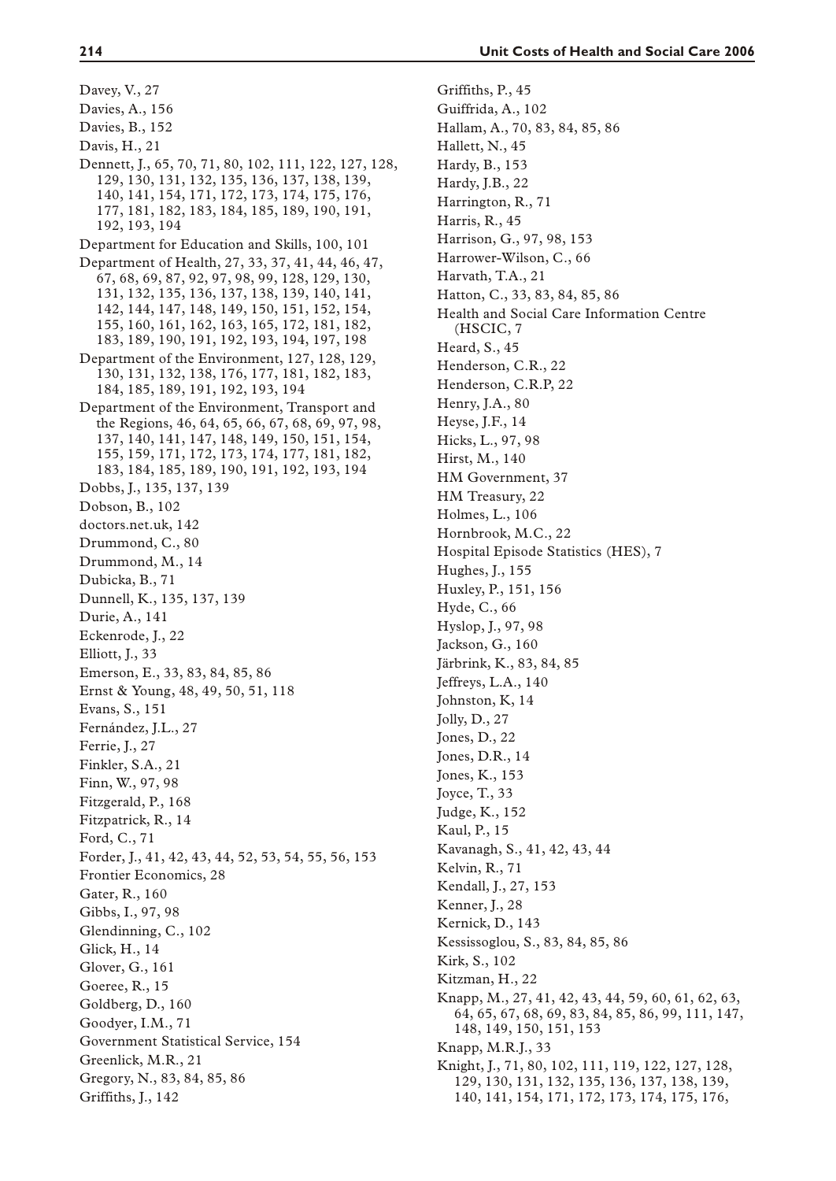Davey, V., 27 Davies, A., 156 Davies, B., 152 Davis, H., 21 Dennett, J., 65, 70, 71, 80, 102, 111, 122, 127, 128, 129, 130, 131, 132, 135, 136, 137, 138, 139, 140, 141, 154, 171, 172, 173, 174, 175, 176, 177, 181, 182, 183, 184, 185, 189, 190, 191, 192, 193, 194 Department for Education and Skills, 100, 101 Department of Health, 27, 33, 37, 41, 44, 46, 47, 67, 68, 69, 87, 92, 97, 98, 99, 128, 129, 130, 131, 132, 135, 136, 137, 138, 139, 140, 141, 142, 144, 147, 148, 149, 150, 151, 152, 154, 155, 160, 161, 162, 163, 165, 172, 181, 182, 183, 189, 190, 191, 192, 193, 194, 197, 198 Department of the Environment, 127, 128, 129, 130, 131, 132, 138, 176, 177, 181, 182, 183, 184, 185, 189, 191, 192, 193, 194 Department of the Environment, Transport and the Regions, 46, 64, 65, 66, 67, 68, 69, 97, 98, 137, 140, 141, 147, 148, 149, 150, 151, 154, 155, 159, 171, 172, 173, 174, 177, 181, 182, 183, 184, 185, 189, 190, 191, 192, 193, 194 Dobbs, J., 135, 137, 139 Dobson, B., 102 doctors.net.uk, 142 Drummond, C., 80 Drummond, M., 14 Dubicka, B., 71 Dunnell, K., 135, 137, 139 Durie, A., 141 Eckenrode, J., 22 Elliott, J., 33 Emerson, E., 33, 83, 84, 85, 86 Ernst & Young, 48, 49, 50, 51, 118 Evans, S., 151 Fernández, J.L., 27 Ferrie, J., 27 Finkler, S.A., 21 Finn, W., 97, 98 Fitzgerald, P., 168 Fitzpatrick, R., 14 Ford, C., 71 Forder, J., 41, 42, 43, 44, 52, 53, 54, 55, 56, 153 Frontier Economics, 28 Gater, R., 160 Gibbs, I., 97, 98 Glendinning, C., 102 Glick, H., 14 Glover, G., 161 Goeree, R., 15 Goldberg, D., 160 Goodyer, I.M., 71 Government Statistical Service, 154 Greenlick, M.R., 21 Gregory, N., 83, 84, 85, 86 Griffiths, J., 142

Griffiths, P., 45 Guiffrida, A., 102 Hallam, A., 70, 83, 84, 85, 86 Hallett, N., 45 Hardy, B., 153 Hardy, J.B., 22 Harrington, R., 71 Harris, R., 45 Harrison, G., 97, 98, 153 Harrower-Wilson, C., 66 Harvath, T.A., 21 Hatton, C., 33, 83, 84, 85, 86 Health and Social Care Information Centre (HSCIC, 7 Heard, S., 45 Henderson, C.R., 22 Henderson, C.R.P, 22 Henry, J.A., 80 Heyse, J.F., 14 Hicks, L., 97, 98 Hirst, M., 140 HM Government, 37 HM Treasury, 22 Holmes, L., 106 Hornbrook, M.C., 22 Hospital Episode Statistics (HES), 7 Hughes, J., 155 Huxley, P., 151, 156 Hyde, C., 66 Hyslop, J., 97, 98 Jackson, G., 160 Järbrink, K., 83, 84, 85 Jeffreys, L.A., 140 Johnston, K, 14 Jolly, D., 27 Jones, D., 22 Jones, D.R., 14 Jones, K., 153 Joyce, T., 33 Judge, K., 152 Kaul, P., 15 Kavanagh, S., 41, 42, 43, 44 Kelvin, R., 71 Kendall, J., 27, 153 Kenner, J., 28 Kernick, D., 143 Kessissoglou, S., 83, 84, 85, 86 Kirk, S., 102 Kitzman, H., 22 Knapp, M., 27, 41, 42, 43, 44, 59, 60, 61, 62, 63, 64, 65, 67, 68, 69, 83, 84, 85, 86, 99, 111, 147, 148, 149, 150, 151, 153 Knapp, M.R.J., 33 Knight, J., 71, 80, 102, 111, 119, 122, 127, 128, 129, 130, 131, 132, 135, 136, 137, 138, 139, 140, 141, 154, 171, 172, 173, 174, 175, 176,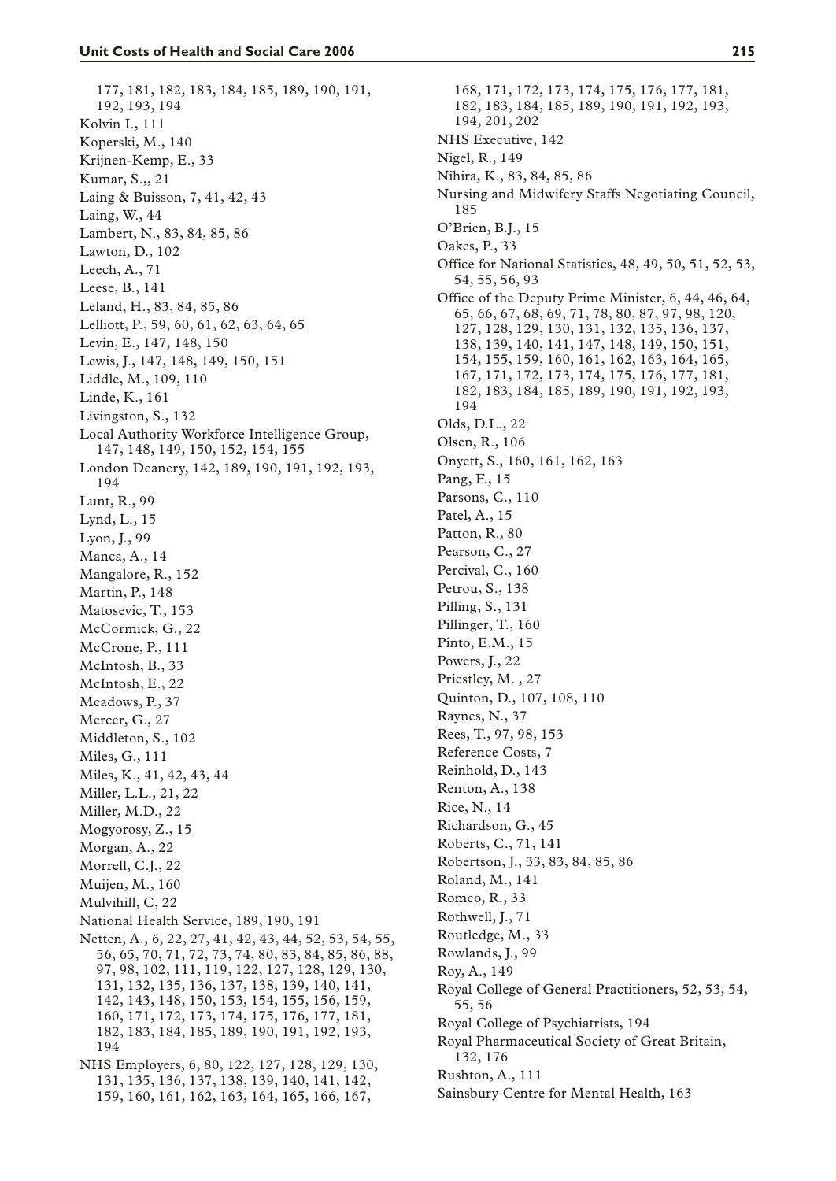177, 181, 182, 183, 184, 185, 189, 190, 191, 192, 193, 194 Kolvin I., 111 Koperski, M., 140 Krijnen-Kemp, E., 33 Kumar, S.,, 21 Laing & Buisson, 7, 41, 42, 43 Laing, W., 44 Lambert, N., 83, 84, 85, 86 Lawton, D., 102 Leech, A., 71 Leese, B., 141 Leland, H., 83, 84, 85, 86 Lelliott, P., 59, 60, 61, 62, 63, 64, 65 Levin, E., 147, 148, 150 Lewis, J., 147, 148, 149, 150, 151 Liddle, M., 109, 110 Linde, K., 161 Livingston, S., 132 Local Authority Workforce Intelligence Group, 147, 148, 149, 150, 152, 154, 155 London Deanery, 142, 189, 190, 191, 192, 193, 194 Lunt, R., 99 Lynd, L., 15 Lyon, J., 99 Manca, A., 14 Mangalore, R., 152 Martin, P., 148 Matosevic, T., 153 McCormick, G., 22 McCrone, P., 111 McIntosh, B., 33 McIntosh, E., 22 Meadows, P., 37 Mercer, G., 27 Middleton, S., 102 Miles, G., 111 Miles, K., 41, 42, 43, 44 Miller, L.L., 21, 22 Miller, M.D., 22 Mogyorosy, Z., 15 Morgan, A., 22 Morrell, C.J., 22 Muijen, M., 160 Mulvihill, C, 22 National Health Service, 189, 190, 191 Netten, A., 6, 22, 27, 41, 42, 43, 44, 52, 53, 54, 55, 56, 65, 70, 71, 72, 73, 74, 80, 83, 84, 85, 86, 88, 97, 98, 102, 111, 119, 122, 127, 128, 129, 130, 131, 132, 135, 136, 137, 138, 139, 140, 141, 142, 143, 148, 150, 153, 154, 155, 156, 159, 160, 171, 172, 173, 174, 175, 176, 177, 181, 182, 183, 184, 185, 189, 190, 191, 192, 193, 194 NHS Employers, 6, 80, 122, 127, 128, 129, 130, 131, 135, 136, 137, 138, 139, 140, 141, 142, 159, 160, 161, 162, 163, 164, 165, 166, 167,

168, 171, 172, 173, 174, 175, 176, 177, 181, 182, 183, 184, 185, 189, 190, 191, 192, 193, 194, 201, 202 NHS Executive, 142 Nigel, R., 149 Nihira, K., 83, 84, 85, 86 Nursing and Midwifery Staffs Negotiating Council, 185 O'Brien, B.J., 15 Oakes, P., 33 Office for National Statistics, 48, 49, 50, 51, 52, 53, 54, 55, 56, 93 Office of the Deputy Prime Minister, 6, 44, 46, 64, 65, 66, 67, 68, 69, 71, 78, 80, 87, 97, 98, 120, 127, 128, 129, 130, 131, 132, 135, 136, 137, 138, 139, 140, 141, 147, 148, 149, 150, 151, 154, 155, 159, 160, 161, 162, 163, 164, 165, 167, 171, 172, 173, 174, 175, 176, 177, 181, 182, 183, 184, 185, 189, 190, 191, 192, 193, 194 Olds, D.L., 22 Olsen, R., 106 Onyett, S., 160, 161, 162, 163 Pang, F., 15 Parsons, C., 110 Patel, A., 15 Patton, R., 80 Pearson, C., 27 Percival, C., 160 Petrou, S., 138 Pilling, S., 131 Pillinger, T., 160 Pinto, E.M., 15 Powers, J., 22 Priestley, M. , 27 Quinton, D., 107, 108, 110 Raynes, N., 37 Rees, T., 97, 98, 153 Reference Costs, 7 Reinhold, D., 143 Renton, A., 138 Rice, N., 14 Richardson, G., 45 Roberts, C., 71, 141 Robertson, J., 33, 83, 84, 85, 86 Roland, M., 141 Romeo, R., 33 Rothwell, J., 71 Routledge, M., 33 Rowlands, J., 99 Roy, A., 149 Royal College of General Practitioners, 52, 53, 54, 55, 56 Royal College of Psychiatrists, 194 Royal Pharmaceutical Society of Great Britain, 132, 176 Rushton, A., 111 Sainsbury Centre for Mental Health, 163